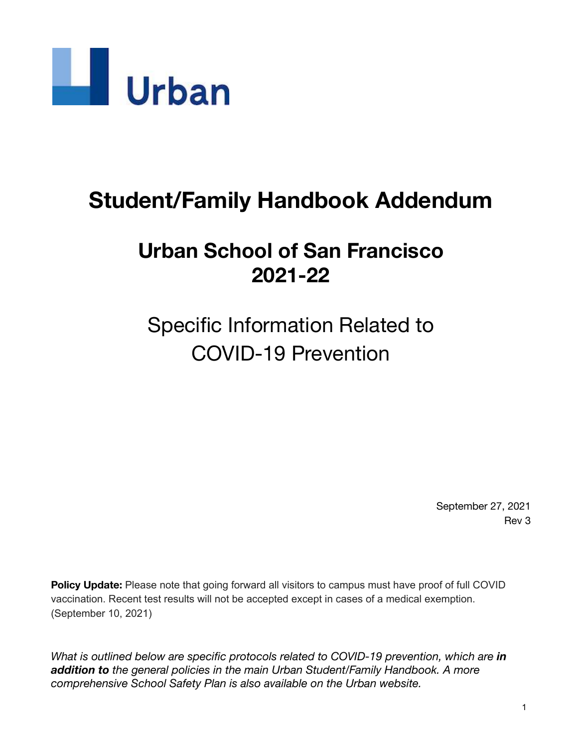

# **Student/Family Handbook Addendum**

# **Urban School of San Francisco 2021-22**

Specific Information Related to COVID-19 Prevention

> September 27, 2021 Rev 3

**Policy Update:** Please note that going forward all visitors to campus must have proof of full COVID vaccination. Recent test results will not be accepted except in cases of a medical exemption. (September 10, 2021)

*What is outlined below are specific protocols related to COVID-19 prevention, which are in addition to the general policies in the main Urban Student/Family Handbook. A more comprehensive School Safety Plan is also available on the Urban website.*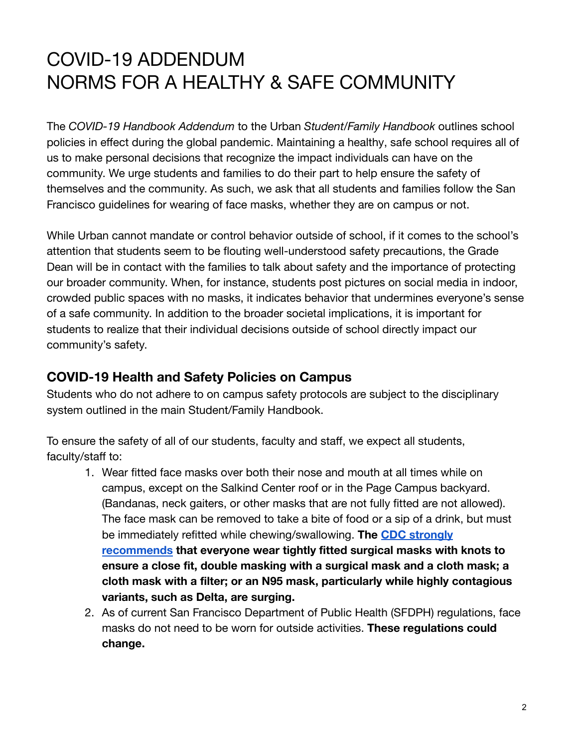# COVID-19 ADDENDUM NORMS FOR A HEALTHY & SAFE COMMUNITY

The *COVID-19 Handbook Addendum* to the Urban *Student/Family Handbook* outlines school policies in effect during the global pandemic. Maintaining a healthy, safe school requires all of us to make personal decisions that recognize the impact individuals can have on the community. We urge students and families to do their part to help ensure the safety of themselves and the community. As such, we ask that all students and families follow the San Francisco guidelines for wearing of face masks, whether they are on campus or not.

While Urban cannot mandate or control behavior outside of school, if it comes to the school's attention that students seem to be flouting well-understood safety precautions, the Grade Dean will be in contact with the families to talk about safety and the importance of protecting our broader community. When, for instance, students post pictures on social media in indoor, crowded public spaces with no masks, it indicates behavior that undermines everyone's sense of a safe community. In addition to the broader societal implications, it is important for students to realize that their individual decisions outside of school directly impact our community's safety.

## **COVID-19 Health and Safety Policies on Campus**

Students who do not adhere to on campus safety protocols are subject to the disciplinary system outlined in the main Student/Family Handbook.

To ensure the safety of all of our students, faculty and staff, we expect all students, faculty/staff to:

- 1. Wear fitted face masks over both their nose and mouth at all times while on campus, except on the Salkind Center roof or in the Page Campus backyard. (Bandanas, neck gaiters, or other masks that are not fully fitted are not allowed). The face mask can be removed to take a bite of food or a sip of a drink, but must be immediately refitted while chewing/swallowing. **The [CDC strongly](https://www.cdc.gov/coronavirus/2019-ncov/your-health/effective-masks.html) [recommends](https://www.cdc.gov/coronavirus/2019-ncov/your-health/effective-masks.html) that everyone wear tightly fitted surgical masks with knots to ensure a close fit, double masking with a surgical mask and a cloth mask; a cloth mask with a filter; or an N95 mask, particularly while highly contagious variants, such as Delta, are surging.**
- 2. As of current San Francisco Department of Public Health (SFDPH) regulations, face masks do not need to be worn for outside activities. **These regulations could change.**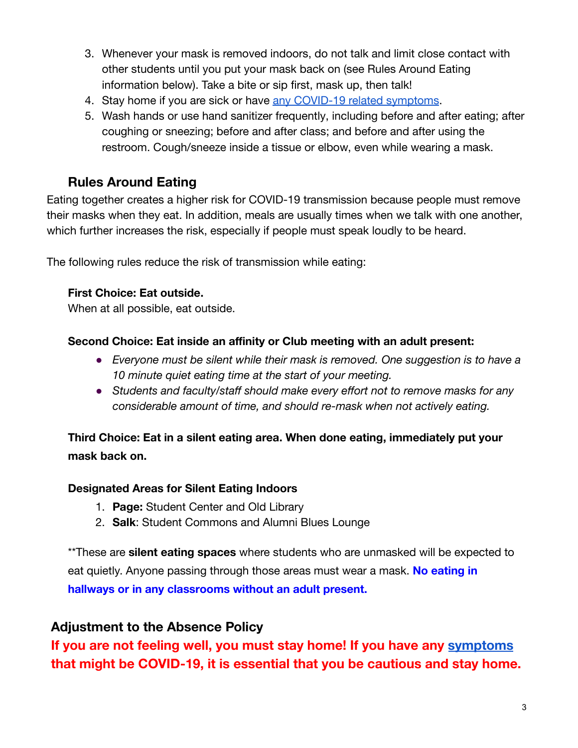- 3. Whenever your mask is removed indoors, do not talk and limit close contact with other students until you put your mask back on (see Rules Around Eating information below). Take a bite or sip first, mask up, then talk!
- 4. Stay home if you are sick or have [any COVID-19 related](https://www.cdc.gov/coronavirus/2019-ncov/symptoms-testing/symptoms.html) symptoms.
- 5. Wash hands or use hand sanitizer frequently, including before and after eating; after coughing or sneezing; before and after class; and before and after using the restroom. Cough/sneeze inside a tissue or elbow, even while wearing a mask.

## **Rules Around Eating**

Eating together creates a higher risk for COVID-19 transmission because people must remove their masks when they eat. In addition, meals are usually times when we talk with one another, which further increases the risk, especially if people must speak loudly to be heard.

The following rules reduce the risk of transmission while eating:

#### **First Choice: Eat outside.**

When at all possible, eat outside.

#### **Second Choice: Eat inside an affinity or Club meeting with an adult present:**

- *Everyone must be silent while their mask is removed. One suggestion is to have a 10 minute quiet eating time at the start of your meeting.*
- *Students and faculty/staff should make every effort not to remove masks for any considerable amount of time, and should re-mask when not actively eating.*

## **Third Choice: Eat in a silent eating area. When done eating, immediately put your mask back on.**

#### **Designated Areas for Silent Eating Indoors**

- 1. **Page:** Student Center and Old Library
- 2. **Salk**: Student Commons and Alumni Blues Lounge

\*\*These are **silent eating spaces** where students who are unmasked will be expected to eat quietly. Anyone passing through those areas must wear a mask. **No eating in hallways or in any classrooms without an adult present.**

### **Adjustment to the Absence Policy**

**If you are not feeling well, you must stay home! If you have any [symptoms](https://www.cdc.gov/coronavirus/2019-ncov/symptoms-testing/symptoms.html) that might be COVID-19, it is essential that you be cautious and stay home.**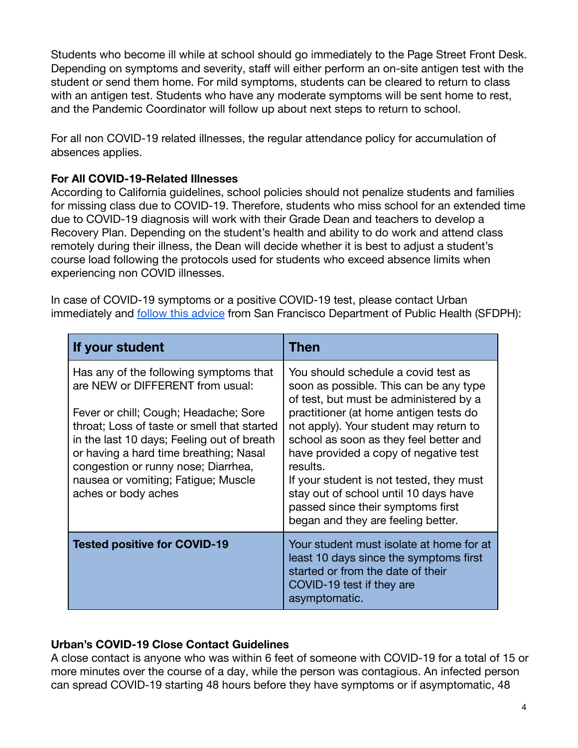Students who become ill while at school should go immediately to the Page Street Front Desk. Depending on symptoms and severity, staff will either perform an on-site antigen test with the student or send them home. For mild symptoms, students can be cleared to return to class with an antigen test. Students who have any moderate symptoms will be sent home to rest, and the Pandemic Coordinator will follow up about next steps to return to school.

For all non COVID-19 related illnesses, the regular attendance policy for accumulation of absences applies.

#### **For All COVID-19-Related Illnesses**

According to California guidelines, school policies should not penalize students and families for missing class due to COVID-19. Therefore, students who miss school for an extended time due to COVID-19 diagnosis will work with their Grade Dean and teachers to develop a Recovery Plan. Depending on the student's health and ability to do work and attend class remotely during their illness, the Dean will decide whether it is best to adjust a student's course load following the protocols used for students who exceed absence limits when experiencing non COVID illnesses.

In case of COVID-19 symptoms or a positive COVID-19 test, please contact Urban immediately and [follow this advice](https://www.sfdph.org/dph/files/ig/Parent-Guardian-Health-Check-Handout.pdf) from San Francisco Department of Public Health (SFDPH):

| If your student                                                                                                                                                                                                                                                                                                                                                 | Then                                                                                                                                                                                                                                                                                                                                                                                                                                                                       |
|-----------------------------------------------------------------------------------------------------------------------------------------------------------------------------------------------------------------------------------------------------------------------------------------------------------------------------------------------------------------|----------------------------------------------------------------------------------------------------------------------------------------------------------------------------------------------------------------------------------------------------------------------------------------------------------------------------------------------------------------------------------------------------------------------------------------------------------------------------|
| Has any of the following symptoms that<br>are NEW or DIFFERENT from usual:<br>Fever or chill; Cough; Headache; Sore<br>throat; Loss of taste or smell that started<br>in the last 10 days; Feeling out of breath<br>or having a hard time breathing; Nasal<br>congestion or runny nose; Diarrhea,<br>nausea or vomiting; Fatigue; Muscle<br>aches or body aches | You should schedule a covid test as<br>soon as possible. This can be any type<br>of test, but must be administered by a<br>practitioner (at home antigen tests do<br>not apply). Your student may return to<br>school as soon as they feel better and<br>have provided a copy of negative test<br>results.<br>If your student is not tested, they must<br>stay out of school until 10 days have<br>passed since their symptoms first<br>began and they are feeling better. |
| <b>Tested positive for COVID-19</b>                                                                                                                                                                                                                                                                                                                             | Your student must isolate at home for at<br>least 10 days since the symptoms first<br>started or from the date of their<br>COVID-19 test if they are<br>asymptomatic.                                                                                                                                                                                                                                                                                                      |

#### **Urban's COVID-19 Close Contact Guidelines**

A close contact is anyone who was within 6 feet of someone with COVID-19 for a total of 15 or more minutes over the course of a day, while the person was contagious. An infected person can spread COVID-19 starting 48 hours before they have symptoms or if asymptomatic, 48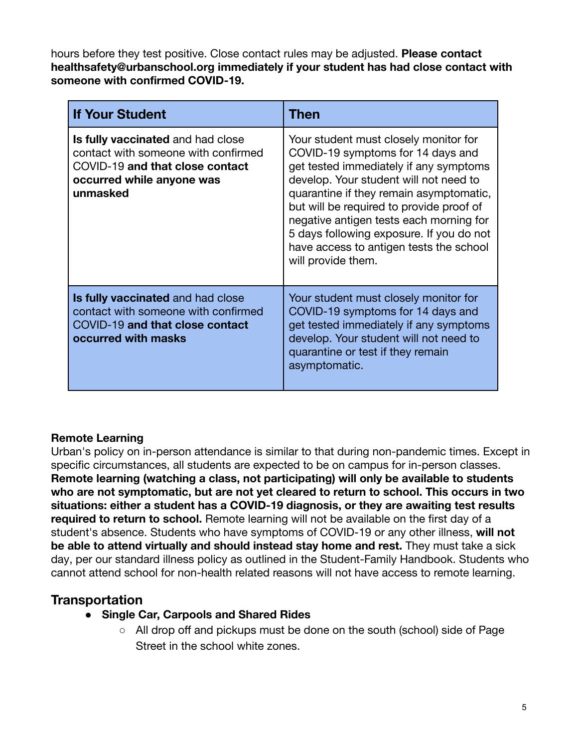hours before they test positive. Close contact rules may be adjusted. **Please contact healthsafety@urbanschool.org immediately if your student has had close contact with someone with confirmed COVID-19.**

| <b>If Your Student</b>                                                                                                                               | Then                                                                                                                                                                                                                                                                                                                                                                                                          |
|------------------------------------------------------------------------------------------------------------------------------------------------------|---------------------------------------------------------------------------------------------------------------------------------------------------------------------------------------------------------------------------------------------------------------------------------------------------------------------------------------------------------------------------------------------------------------|
| Is fully vaccinated and had close<br>contact with someone with confirmed<br>COVID-19 and that close contact<br>occurred while anyone was<br>unmasked | Your student must closely monitor for<br>COVID-19 symptoms for 14 days and<br>get tested immediately if any symptoms<br>develop. Your student will not need to<br>quarantine if they remain asymptomatic,<br>but will be required to provide proof of<br>negative antigen tests each morning for<br>5 days following exposure. If you do not<br>have access to antigen tests the school<br>will provide them. |
| <b>Is fully vaccinated and had close</b><br>contact with someone with confirmed<br>COVID-19 and that close contact<br>occurred with masks            | Your student must closely monitor for<br>COVID-19 symptoms for 14 days and<br>get tested immediately if any symptoms<br>develop. Your student will not need to<br>quarantine or test if they remain<br>asymptomatic.                                                                                                                                                                                          |

#### **Remote Learning**

Urban's policy on in-person attendance is similar to that during non-pandemic times. Except in specific circumstances, all students are expected to be on campus for in-person classes. **Remote learning (watching a class, not participating) will only be available to students who are not symptomatic, but are not yet cleared to return to school. This occurs in two situations: either a student has a COVID-19 diagnosis, or they are awaiting test results required to return to school.** Remote learning will not be available on the first day of a student's absence. Students who have symptoms of COVID-19 or any other illness, **will not be able to attend virtually and should instead stay home and rest.** They must take a sick day, per our standard illness policy as outlined in the [Student-Family Handbook.](http://email.email.urbanschool.org/c/eJxdUctuhDAM_Br2iPJyEg4cYCHqvR9QBZJ0EY-seBTt39dBPVQrRfJMbHlGY1cGqrm9DSUjjBJBBVUIIKc5KG0aY5QQDWjFIRPEz3aY8mPt7LL1jxinPK7ft0dZMJwgUhSgmQgd86Fwrus4WAdSa3abyse-PzNeZczgO8_zfQv-9uHLL3EfwgvJNCxjiOtpV5f3Yc64Sdrfx5LxhmZMpipAa4RHgoXUErFHLJWGhJ3fdqRJecsYJHFI8nAZSLX9Z-LilxHsH88pWufdRVzsj9kv-3axz_1wSIydh-n1YRfXxThieCR1G4beAMzqf_i18OnCn5PRv5JP3lIDkrGGEE1A1nfCRVWptm40BQBCcIS1ihnCTIXD9b1SRa3wMrwgTNzWcuwwCFwmyPshrvR6P7gyJfMLkRuL1Q) Students who cannot attend school for non-health related reasons will not have access to remote learning.

### **Transportation**

- **● Single Car, Carpools and Shared Rides**
	- All drop off and pickups must be done on the south (school) side of Page Street in the school white zones.